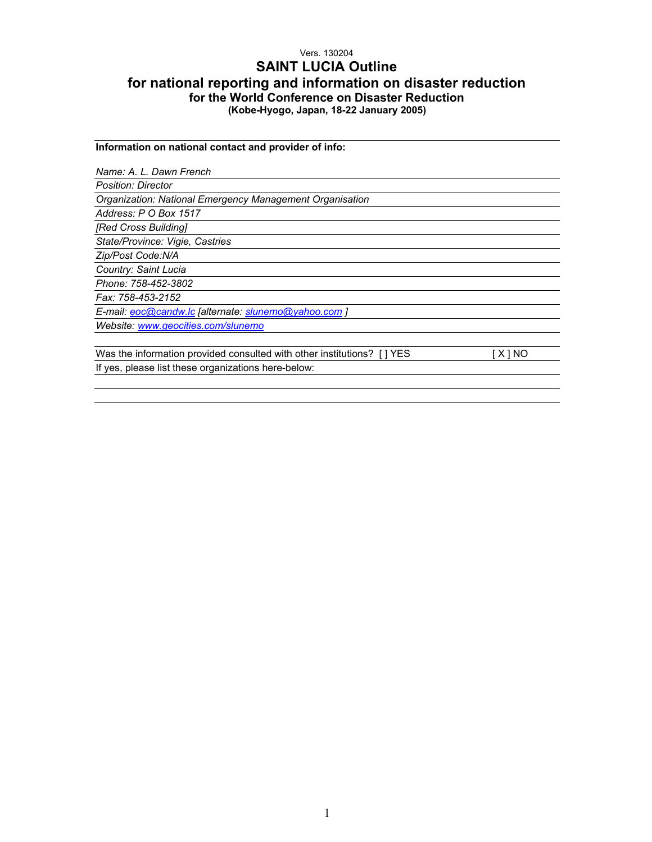# Vers. 130204 **SAINT LUCIA Outline for national reporting and information on disaster reduction for the World Conference on Disaster Reduction (Kobe-Hyogo, Japan, 18-22 January 2005)**

**Information on national contact and provider of info:**  *Name: A. L. Dawn French Position: Director Organization: National Emergency Management Organisation Address: P O Box 1517 [Red Cross Building] State/Province: Vigie, Castries Zip/Post Code:N/A Country: Saint Lucia Phone: 758-452-3802 Fax: 758-453-2152 E-mail: eoc@candw.lc [alternate: slunemo@yahoo.com ] Website: www.geocities.com/slunemo*  Was the information provided consulted with other institutions? [] YES [X] NO If yes, please list these organizations here-below: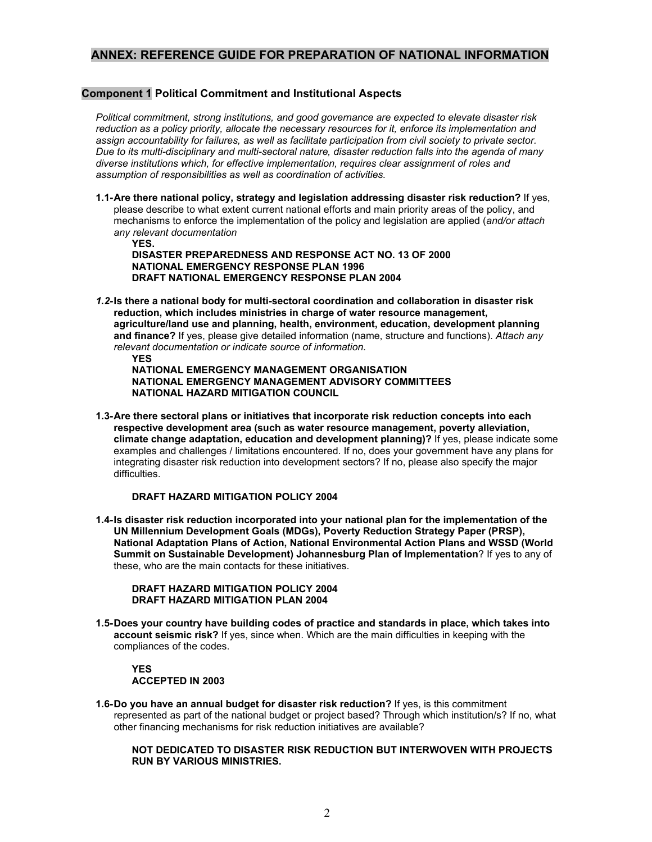# **ANNEX: REFERENCE GUIDE FOR PREPARATION OF NATIONAL INFORMATION**

## **Component 1 Political Commitment and Institutional Aspects**

*Political commitment, strong institutions, and good governance are expected to elevate disaster risk reduction as a policy priority, allocate the necessary resources for it, enforce its implementation and assign accountability for failures, as well as facilitate participation from civil society to private sector. Due to its multi-disciplinary and multi-sectoral nature, disaster reduction falls into the agenda of many diverse institutions which, for effective implementation, requires clear assignment of roles and assumption of responsibilities as well as coordination of activities.* 

**1.1- Are there national policy, strategy and legislation addressing disaster risk reduction?** If yes, please describe to what extent current national efforts and main priority areas of the policy, and mechanisms to enforce the implementation of the policy and legislation are applied (*and/or attach any relevant documentation*

**YES. DISASTER PREPAREDNESS AND RESPONSE ACT NO. 13 OF 2000 NATIONAL EMERGENCY RESPONSE PLAN 1996 DRAFT NATIONAL EMERGENCY RESPONSE PLAN 2004** 

*1.2-* **Is there a national body for multi-sectoral coordination and collaboration in disaster risk reduction, which includes ministries in charge of water resource management, agriculture/land use and planning, health, environment, education, development planning and finance?** If yes, please give detailed information (name, structure and functions). *Attach any relevant documentation or indicate source of information.* 

 **YES** 

**NATIONAL EMERGENCY MANAGEMENT ORGANISATION NATIONAL EMERGENCY MANAGEMENT ADVISORY COMMITTEES NATIONAL HAZARD MITIGATION COUNCIL** 

**1.3- Are there sectoral plans or initiatives that incorporate risk reduction concepts into each respective development area (such as water resource management, poverty alleviation, climate change adaptation, education and development planning)?** If yes, please indicate some examples and challenges / limitations encountered. If no, does your government have any plans for integrating disaster risk reduction into development sectors? If no, please also specify the major difficulties.

### **DRAFT HAZARD MITIGATION POLICY 2004**

**1.4- Is disaster risk reduction incorporated into your national plan for the implementation of the UN Millennium Development Goals (MDGs), Poverty Reduction Strategy Paper (PRSP), National Adaptation Plans of Action, National Environmental Action Plans and WSSD (World Summit on Sustainable Development) Johannesburg Plan of Implementation**? If yes to any of these, who are the main contacts for these initiatives.

### **DRAFT HAZARD MITIGATION POLICY 2004 DRAFT HAZARD MITIGATION PLAN 2004**

**1.5- Does your country have building codes of practice and standards in place, which takes into account seismic risk?** If yes, since when. Which are the main difficulties in keeping with the compliances of the codes.

# **YES ACCEPTED IN 2003**

**1.6- Do you have an annual budget for disaster risk reduction?** If yes, is this commitment represented as part of the national budget or project based? Through which institution/s? If no, what other financing mechanisms for risk reduction initiatives are available?

### **NOT DEDICATED TO DISASTER RISK REDUCTION BUT INTERWOVEN WITH PROJECTS RUN BY VARIOUS MINISTRIES.**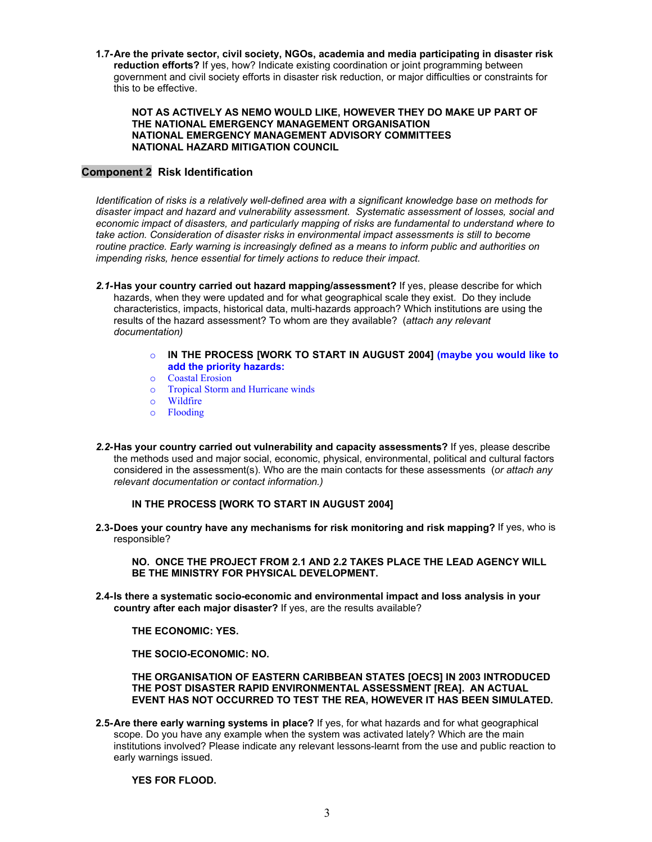**1.7- Are the private sector, civil society, NGOs, academia and media participating in disaster risk reduction efforts?** If yes, how? Indicate existing coordination or joint programming between government and civil society efforts in disaster risk reduction, or major difficulties or constraints for this to be effective.

#### **NOT AS ACTIVELY AS NEMO WOULD LIKE, HOWEVER THEY DO MAKE UP PART OF THE NATIONAL EMERGENCY MANAGEMENT ORGANISATION NATIONAL EMERGENCY MANAGEMENT ADVISORY COMMITTEES NATIONAL HAZARD MITIGATION COUNCIL**

## **Component 2 Risk Identification**

*Identification of risks is a relatively well-defined area with a significant knowledge base on methods for disaster impact and hazard and vulnerability assessment. Systematic assessment of losses, social and economic impact of disasters, and particularly mapping of risks are fundamental to understand where to take action. Consideration of disaster risks in environmental impact assessments is still to become routine practice. Early warning is increasingly defined as a means to inform public and authorities on impending risks, hence essential for timely actions to reduce their impact.* 

- *2.1-* **Has your country carried out hazard mapping/assessment?** If yes, please describe for which hazards, when they were updated and for what geographical scale they exist. Do they include characteristics, impacts, historical data, multi-hazards approach? Which institutions are using the results of the hazard assessment? To whom are they available? (*attach any relevant documentation)* 
	- o **IN THE PROCESS [WORK TO START IN AUGUST 2004] (maybe you would like to add the priority hazards:**
	- o Coastal Erosion
	- o Tropical Storm and Hurricane winds
	- o Wildfire
	- o Flooding
- *2.2-* **Has your country carried out vulnerability and capacity assessments?** If yes, please describe the methods used and major social, economic, physical, environmental, political and cultural factors considered in the assessment(s). Who are the main contacts for these assessments (*or attach any relevant documentation or contact information.)*

### **IN THE PROCESS [WORK TO START IN AUGUST 2004]**

**2.3- Does your country have any mechanisms for risk monitoring and risk mapping?** If yes, who is responsible?

### **NO. ONCE THE PROJECT FROM 2.1 AND 2.2 TAKES PLACE THE LEAD AGENCY WILL BE THE MINISTRY FOR PHYSICAL DEVELOPMENT.**

**2.4- Is there a systematic socio-economic and environmental impact and loss analysis in your country after each major disaster?** If yes, are the results available?

**THE ECONOMIC: YES.** 

**THE SOCIO-ECONOMIC: NO.** 

### **THE ORGANISATION OF EASTERN CARIBBEAN STATES [OECS] IN 2003 INTRODUCED THE POST DISASTER RAPID ENVIRONMENTAL ASSESSMENT [REA]. AN ACTUAL EVENT HAS NOT OCCURRED TO TEST THE REA, HOWEVER IT HAS BEEN SIMULATED.**

**2.5- Are there early warning systems in place?** If yes, for what hazards and for what geographical scope. Do you have any example when the system was activated lately? Which are the main institutions involved? Please indicate any relevant lessons-learnt from the use and public reaction to early warnings issued.

**YES FOR FLOOD.**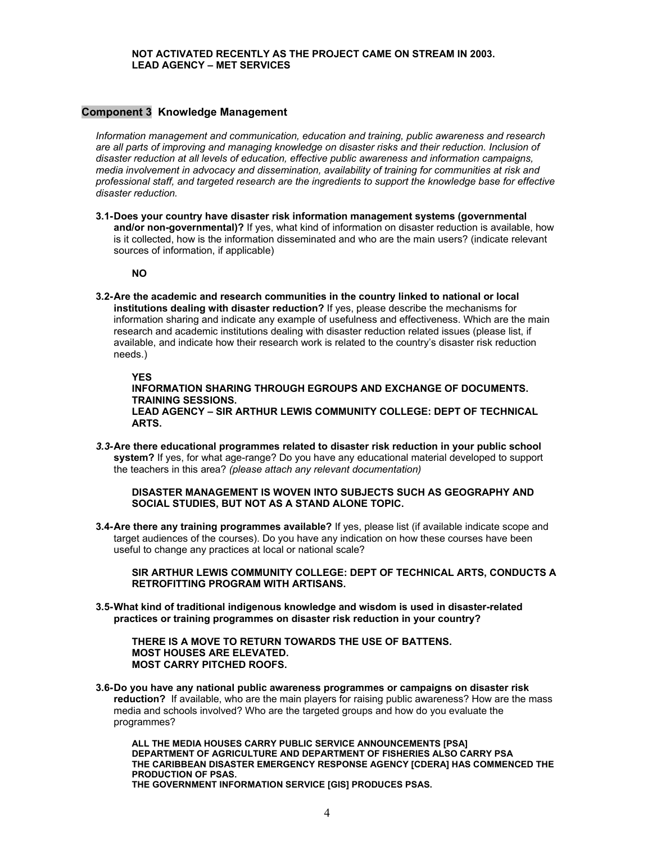### **NOT ACTIVATED RECENTLY AS THE PROJECT CAME ON STREAM IN 2003. LEAD AGENCY – MET SERVICES**

### **Component 3 Knowledge Management**

*Information management and communication, education and training, public awareness and research are all parts of improving and managing knowledge on disaster risks and their reduction. Inclusion of disaster reduction at all levels of education, effective public awareness and information campaigns, media involvement in advocacy and dissemination, availability of training for communities at risk and professional staff, and targeted research are the ingredients to support the knowledge base for effective disaster reduction.* 

**3.1- Does your country have disaster risk information management systems (governmental and/or non-governmental)?** If yes, what kind of information on disaster reduction is available, how is it collected, how is the information disseminated and who are the main users? (indicate relevant sources of information, if applicable)

**NO** 

**3.2- Are the academic and research communities in the country linked to national or local institutions dealing with disaster reduction?** If yes, please describe the mechanisms for information sharing and indicate any example of usefulness and effectiveness. Which are the main research and academic institutions dealing with disaster reduction related issues (please list, if available, and indicate how their research work is related to the country's disaster risk reduction needs.)

### **YES**

**INFORMATION SHARING THROUGH EGROUPS AND EXCHANGE OF DOCUMENTS. TRAINING SESSIONS.** 

**LEAD AGENCY – SIR ARTHUR LEWIS COMMUNITY COLLEGE: DEPT OF TECHNICAL ARTS.** 

*3.3-* **Are there educational programmes related to disaster risk reduction in your public school system?** If yes, for what age-range? Do you have any educational material developed to support the teachers in this area? *(please attach any relevant documentation)* 

**DISASTER MANAGEMENT IS WOVEN INTO SUBJECTS SUCH AS GEOGRAPHY AND SOCIAL STUDIES, BUT NOT AS A STAND ALONE TOPIC.** 

**3.4- Are there any training programmes available?** If yes, please list (if available indicate scope and target audiences of the courses). Do you have any indication on how these courses have been useful to change any practices at local or national scale?

**SIR ARTHUR LEWIS COMMUNITY COLLEGE: DEPT OF TECHNICAL ARTS, CONDUCTS A RETROFITTING PROGRAM WITH ARTISANS.** 

**3.5- What kind of traditional indigenous knowledge and wisdom is used in disaster-related practices or training programmes on disaster risk reduction in your country?** 

**THERE IS A MOVE TO RETURN TOWARDS THE USE OF BATTENS. MOST HOUSES ARE ELEVATED. MOST CARRY PITCHED ROOFS.** 

**3.6- Do you have any national public awareness programmes or campaigns on disaster risk reduction?** If available, who are the main players for raising public awareness? How are the mass media and schools involved? Who are the targeted groups and how do you evaluate the programmes?

**ALL THE MEDIA HOUSES CARRY PUBLIC SERVICE ANNOUNCEMENTS [PSA] DEPARTMENT OF AGRICULTURE AND DEPARTMENT OF FISHERIES ALSO CARRY PSA THE CARIBBEAN DISASTER EMERGENCY RESPONSE AGENCY [CDERA] HAS COMMENCED THE PRODUCTION OF PSAS.** 

**THE GOVERNMENT INFORMATION SERVICE [GIS] PRODUCES PSAS.**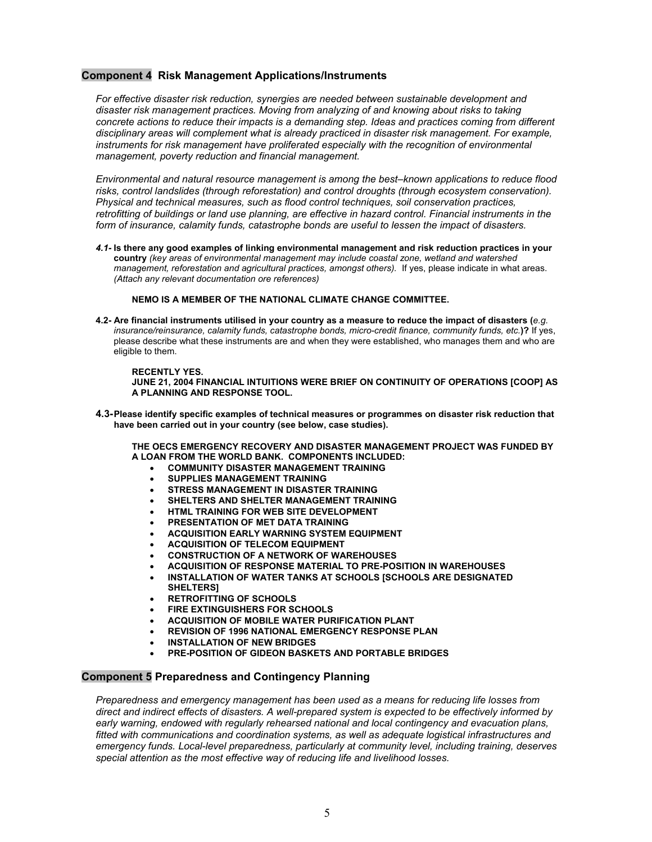### **Component 4 Risk Management Applications/Instruments**

*For effective disaster risk reduction, synergies are needed between sustainable development and disaster risk management practices. Moving from analyzing of and knowing about risks to taking concrete actions to reduce their impacts is a demanding step. Ideas and practices coming from different disciplinary areas will complement what is already practiced in disaster risk management. For example,*  instruments for risk management have proliferated especially with the recognition of environmental *management, poverty reduction and financial management.* 

*Environmental and natural resource management is among the best–known applications to reduce flood risks, control landslides (through reforestation) and control droughts (through ecosystem conservation). Physical and technical measures, such as flood control techniques, soil conservation practices, retrofitting of buildings or land use planning, are effective in hazard control. Financial instruments in the form of insurance, calamity funds, catastrophe bonds are useful to lessen the impact of disasters.* 

*4.1-* **Is there any good examples of linking environmental management and risk reduction practices in your country** *(key areas of environmental management may include coastal zone, wetland and watershed management, reforestation and agricultural practices, amongst others).* If yes, please indicate in what areas. *(Attach any relevant documentation ore references)* 

**NEMO IS A MEMBER OF THE NATIONAL CLIMATE CHANGE COMMITTEE.** 

**4.2- Are financial instruments utilised in your country as a measure to reduce the impact of disasters (***e.g. insurance/reinsurance, calamity funds, catastrophe bonds, micro-credit finance, community funds, etc.***)?** If yes, please describe what these instruments are and when they were established, who manages them and who are eligible to them.

**RECENTLY YES. JUNE 21, 2004 FINANCIAL INTUITIONS WERE BRIEF ON CONTINUITY OF OPERATIONS [COOP] AS A PLANNING AND RESPONSE TOOL.** 

**4.3- Please identify specific examples of technical measures or programmes on disaster risk reduction that have been carried out in your country (see below, case studies).** 

**THE OECS EMERGENCY RECOVERY AND DISASTER MANAGEMENT PROJECT WAS FUNDED BY A LOAN FROM THE WORLD BANK. COMPONENTS INCLUDED:** 

- **COMMUNITY DISASTER MANAGEMENT TRAINING**
- **SUPPLIES MANAGEMENT TRAINING**
- **STRESS MANAGEMENT IN DISASTER TRAINING**
- **SHELTERS AND SHELTER MANAGEMENT TRAINING**
- **HTML TRAINING FOR WEB SITE DEVELOPMENT**
- **PRESENTATION OF MET DATA TRAINING**
- **ACQUISITION EARLY WARNING SYSTEM EQUIPMENT**
- **ACQUISITION OF TELECOM EQUIPMENT**
- **CONSTRUCTION OF A NETWORK OF WAREHOUSES**
- **ACQUISITION OF RESPONSE MATERIAL TO PRE-POSITION IN WAREHOUSES**
- **INSTALLATION OF WATER TANKS AT SCHOOLS [SCHOOLS ARE DESIGNATED SHELTERS]**
- **RETROFITTING OF SCHOOLS**
- **FIRE EXTINGUISHERS FOR SCHOOLS**
- **ACQUISITION OF MOBILE WATER PURIFICATION PLANT**
- **REVISION OF 1996 NATIONAL EMERGENCY RESPONSE PLAN**
- **INSTALLATION OF NEW BRIDGES**
- **PRE-POSITION OF GIDEON BASKETS AND PORTABLE BRIDGES**

### **Component 5 Preparedness and Contingency Planning**

*Preparedness and emergency management has been used as a means for reducing life losses from direct and indirect effects of disasters. A well-prepared system is expected to be effectively informed by early warning, endowed with regularly rehearsed national and local contingency and evacuation plans, fitted with communications and coordination systems, as well as adequate logistical infrastructures and emergency funds. Local-level preparedness, particularly at community level, including training, deserves special attention as the most effective way of reducing life and livelihood losses.*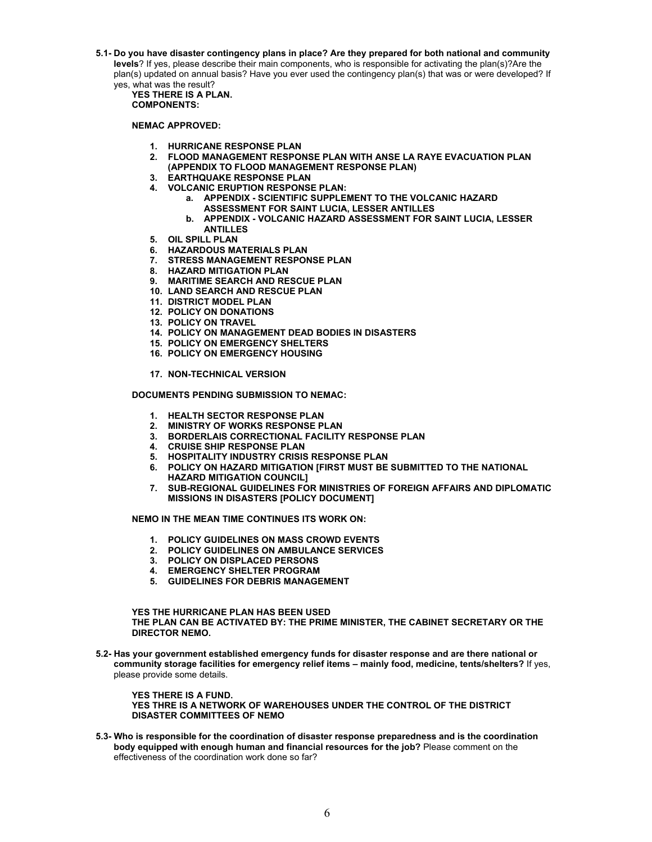**5.1- Do you have disaster contingency plans in place? Are they prepared for both national and community levels**? If yes, please describe their main components, who is responsible for activating the plan(s)?Are the plan(s) updated on annual basis? Have you ever used the contingency plan(s) that was or were developed? If yes, what was the result?

**YES THERE IS A PLAN. COMPONENTS:** 

**NEMAC APPROVED:** 

- **1. HURRICANE RESPONSE PLAN**
- **2. FLOOD MANAGEMENT RESPONSE PLAN WITH ANSE LA RAYE EVACUATION PLAN (APPENDIX TO FLOOD MANAGEMENT RESPONSE PLAN)**
- **3. EARTHQUAKE RESPONSE PLAN**
- **4. VOLCANIC ERUPTION RESPONSE PLAN:** 
	- **a. APPENDIX SCIENTIFIC SUPPLEMENT TO THE VOLCANIC HAZARD ASSESSMENT FOR SAINT LUCIA, LESSER ANTILLES**
	- **b. APPENDIX VOLCANIC HAZARD ASSESSMENT FOR SAINT LUCIA, LESSER ANTILLES**
- **5. OIL SPILL PLAN**
- **6. HAZARDOUS MATERIALS PLAN**
- **7. STRESS MANAGEMENT RESPONSE PLAN**
- **8. HAZARD MITIGATION PLAN**
- **9. MARITIME SEARCH AND RESCUE PLAN**
- **10. LAND SEARCH AND RESCUE PLAN**
- **11. DISTRICT MODEL PLAN**
- **12. POLICY ON DONATIONS**
- **13. POLICY ON TRAVEL**
- **14. POLICY ON MANAGEMENT DEAD BODIES IN DISASTERS**
- **15. POLICY ON EMERGENCY SHELTERS**
- **16. POLICY ON EMERGENCY HOUSING**

**17. NON-TECHNICAL VERSION** 

**DOCUMENTS PENDING SUBMISSION TO NEMAC:** 

- **1. HEALTH SECTOR RESPONSE PLAN**
- **2. MINISTRY OF WORKS RESPONSE PLAN**
- **3. BORDERLAIS CORRECTIONAL FACILITY RESPONSE PLAN**
- **4. CRUISE SHIP RESPONSE PLAN**
- **5. HOSPITALITY INDUSTRY CRISIS RESPONSE PLAN**
- **6. POLICY ON HAZARD MITIGATION [FIRST MUST BE SUBMITTED TO THE NATIONAL HAZARD MITIGATION COUNCIL]**
- **7. SUB-REGIONAL GUIDELINES FOR MINISTRIES OF FOREIGN AFFAIRS AND DIPLOMATIC MISSIONS IN DISASTERS [POLICY DOCUMENT]**

**NEMO IN THE MEAN TIME CONTINUES ITS WORK ON:** 

- **1. POLICY GUIDELINES ON MASS CROWD EVENTS**
- **2. POLICY GUIDELINES ON AMBULANCE SERVICES**
- **3. POLICY ON DISPLACED PERSONS**
- **4. EMERGENCY SHELTER PROGRAM**
- **5. GUIDELINES FOR DEBRIS MANAGEMENT**

**YES THE HURRICANE PLAN HAS BEEN USED THE PLAN CAN BE ACTIVATED BY: THE PRIME MINISTER, THE CABINET SECRETARY OR THE DIRECTOR NEMO.** 

**5.2- Has your government established emergency funds for disaster response and are there national or community storage facilities for emergency relief items – mainly food, medicine, tents/shelters?** If yes, please provide some details.

**YES THERE IS A FUND. YES THRE IS A NETWORK OF WAREHOUSES UNDER THE CONTROL OF THE DISTRICT DISASTER COMMITTEES OF NEMO** 

**5.3- Who is responsible for the coordination of disaster response preparedness and is the coordination body equipped with enough human and financial resources for the job?** Please comment on the effectiveness of the coordination work done so far?